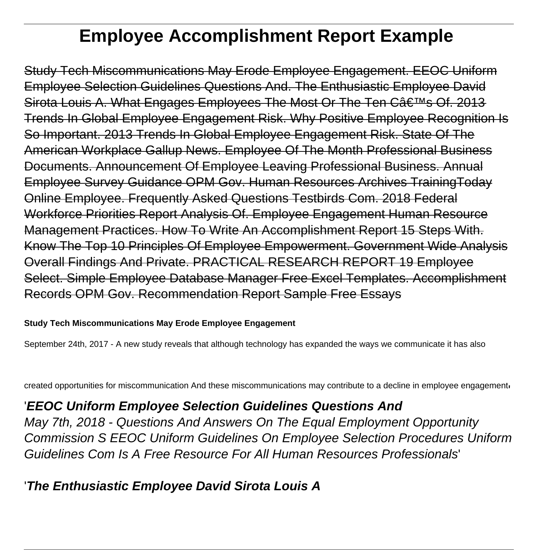# **Employee Accomplishment Report Example**

Study Tech Miscommunications May Erode Employee Engagement. EEOC Uniform Employee Selection Guidelines Questions And. The Enthusiastic Employee David Sirota Louis A. What Engages Employees The Most Or The Ten C's Of. 2013 Trends In Global Employee Engagement Risk. Why Positive Employee Recognition Is So Important. 2013 Trends In Global Employee Engagement Risk. State Of The American Workplace Gallup News. Employee Of The Month Professional Business Documents. Announcement Of Employee Leaving Professional Business. Annual Employee Survey Guidance OPM Gov. Human Resources Archives TrainingToday Online Employee. Frequently Asked Questions Testbirds Com. 2018 Federal Workforce Priorities Report Analysis Of. Employee Engagement Human Resource Management Practices. How To Write An Accomplishment Report 15 Steps With. Know The Top 10 Principles Of Employee Empowerment. Government Wide Analysis Overall Findings And Private. PRACTICAL RESEARCH REPORT 19 Employee Select. Simple Employee Database Manager Free Excel Templates. Accomplishment Records OPM Gov. Recommendation Report Sample Free Essays

#### **Study Tech Miscommunications May Erode Employee Engagement**

September 24th, 2017 - A new study reveals that although technology has expanded the ways we communicate it has also

created opportunities for miscommunication And these miscommunications may contribute to a decline in employee engagement

# '**EEOC Uniform Employee Selection Guidelines Questions And**

May 7th, 2018 - Questions And Answers On The Equal Employment Opportunity Commission S EEOC Uniform Guidelines On Employee Selection Procedures Uniform Guidelines Com Is A Free Resource For All Human Resources Professionals'

# '**The Enthusiastic Employee David Sirota Louis A**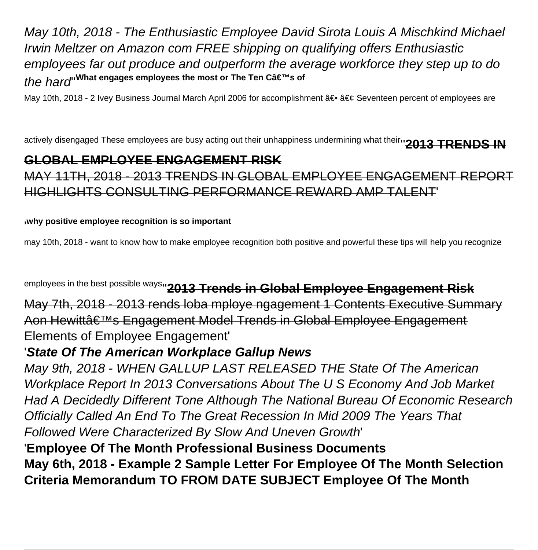May 10th, 2018 - The Enthusiastic Employee David Sirota Louis A Mischkind Michael Irwin Meltzer on Amazon com FREE shipping on qualifying offers Enthusiastic employees far out produce and outperform the average workforce they step up to do the hard<sup>''What engages employees the most or The Ten C's of</sup>

May 10th, 2018 - 2 Ivey Business Journal March April 2006 for accomplishment ― • Seventeen percent of employees are

actively disengaged These employees are busy acting out their unhappiness undermining what theirn **2013 TRENDS IN** 

#### **GLOBAL EMPLOYEE ENGAGEMENT RISK**

MAY 11TH, 2018 - 2013 TRENDS IN GLOBAL EMPLOYEE ENGAGEMENT REPORT HIGHLIGHTS CONSULTING PERFORMANCE REWARD AMP TALENT'

#### '**why positive employee recognition is so important**

may 10th, 2018 - want to know how to make employee recognition both positive and powerful these tips will help you recognize

employees in the best possible ways''**2013 Trends in Global Employee Engagement Risk**

May 7th, 2018 - 2013 rends loba mploye ngagement 1 Contents Executive Summary Aon Hewittâ€<sup>™</sup>s Engagement Model Trends in Global Employee Engagement Elements of Employee Engagement'

#### '**State Of The American Workplace Gallup News**

May 9th, 2018 - WHEN GALLUP LAST RELEASED THE State Of The American Workplace Report In 2013 Conversations About The U S Economy And Job Market Had A Decidedly Different Tone Although The National Bureau Of Economic Research Officially Called An End To The Great Recession In Mid 2009 The Years That Followed Were Characterized By Slow And Uneven Growth'

'**Employee Of The Month Professional Business Documents May 6th, 2018 - Example 2 Sample Letter For Employee Of The Month Selection Criteria Memorandum TO FROM DATE SUBJECT Employee Of The Month**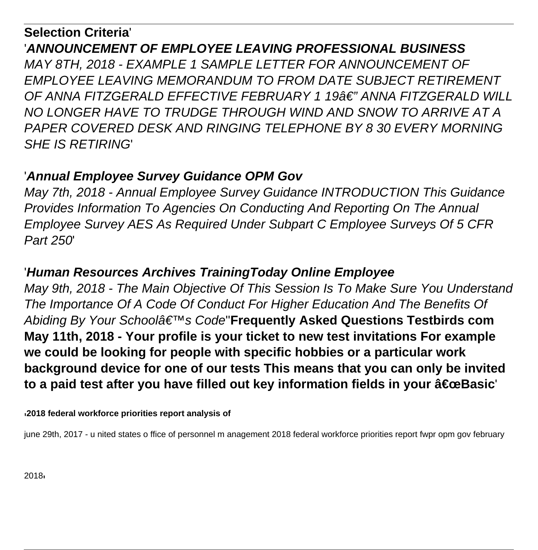# **Selection Criteria**' '**ANNOUNCEMENT OF EMPLOYEE LEAVING PROFESSIONAL BUSINESS** MAY 8TH, 2018 - EXAMPLE 1 SAMPLE LETTER FOR ANNOUNCEMENT OF

EMPLOYEE LEAVING MEMORANDUM TO FROM DATE SUBJECT RETIREMENT OF ANNA FITZGERALD EFFECTIVE FEBRUARY 1 19â€" ANNA FITZGERALD WILL NO LONGER HAVE TO TRUDGE THROUGH WIND AND SNOW TO ARRIVE AT A PAPER COVERED DESK AND RINGING TELEPHONE BY 8 30 EVERY MORNING SHE IS RETIRING'

## '**Annual Employee Survey Guidance OPM Gov**

May 7th, 2018 - Annual Employee Survey Guidance INTRODUCTION This Guidance Provides Information To Agencies On Conducting And Reporting On The Annual Employee Survey AES As Required Under Subpart C Employee Surveys Of 5 CFR Part 250'

# '**Human Resources Archives TrainingToday Online Employee**

May 9th, 2018 - The Main Objective Of This Session Is To Make Sure You Understand The Importance Of A Code Of Conduct For Higher Education And The Benefits Of Abiding By Your Schoolâ€<sup>™</sup>s Code'Frequently Asked Questions Testbirds com **May 11th, 2018 - Your profile is your ticket to new test invitations For example we could be looking for people with specific hobbies or a particular work background device for one of our tests This means that you can only be invited** to a paid test after you have filled out key information fields in your "Basic<sup>'</sup>

'**2018 federal workforce priorities report analysis of**

june 29th, 2017 - u nited states o ffice of personnel m anagement 2018 federal workforce priorities report fwpr opm gov february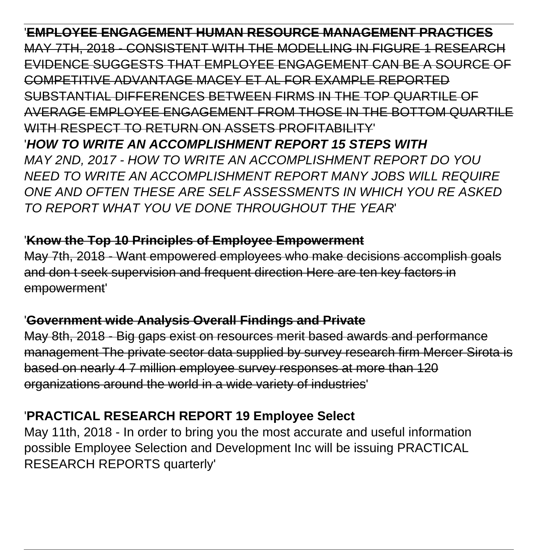'**EMPLOYEE ENGAGEMENT HUMAN RESOURCE MANAGEMENT PRACTICES** MAY 7TH, 2018 - CONSISTENT WITH THE MODELLING IN FIGURE 1 RESEARCH EVIDENCE SUGGESTS THAT EMPLOYEE ENGAGEMENT CAN BE A SOURCE OF COMPETITIVE ADVANTAGE MACEY ET AL FOR EXAMPLE REPORTED SUBSTANTIAL DIFFERENCES BETWEEN FIRMS IN THE TOP QUARTILE OF AVERAGE EMPLOYEE ENGAGEMENT FROM THOSE IN THE BOTTOM QUARTILE WITH RESPECT TO RETURN ON ASSETS PROFITABILITY' '**HOW TO WRITE AN ACCOMPLISHMENT REPORT 15 STEPS WITH** MAY 2ND, 2017 - HOW TO WRITE AN ACCOMPLISHMENT REPORT DO YOU NEED TO WRITE AN ACCOMPLISHMENT REPORT MANY JOBS WILL REQUIRE ONE AND OFTEN THESE ARE SELF ASSESSMENTS IN WHICH YOU RE ASKED TO REPORT WHAT YOU VE DONE THROUGHOUT THE YEAR'

#### '**Know the Top 10 Principles of Employee Empowerment**

May 7th, 2018 - Want empowered employees who make decisions accomplish goals and don t seek supervision and frequent direction Here are ten key factors in empowerment'

#### '**Government wide Analysis Overall Findings and Private**

May 8th, 2018 - Big gaps exist on resources merit based awards and performance management The private sector data supplied by survey research firm Mercer Sirota is based on nearly 4 7 million employee survey responses at more than 120 organizations around the world in a wide variety of industries'

### '**PRACTICAL RESEARCH REPORT 19 Employee Select**

May 11th, 2018 - In order to bring you the most accurate and useful information possible Employee Selection and Development Inc will be issuing PRACTICAL RESEARCH REPORTS quarterly'